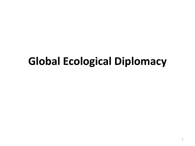## **Global Ecological Diplomacy**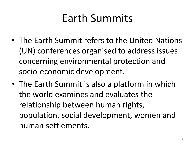# Earth Summits

- The Earth Summit refers to the United Nations (UN) conferences organised to address issues concerning environmental protection and socio-economic development.
- The Earth Summit is also a platform in which the world examines and evaluates the relationship between human rights, population, social development, women and human settlements.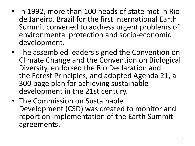- In 1992, more than 100 heads of state met in Rio de Janeiro, Brazil for the first international Earth Summit convened to address urgent problems of environmental protection and socio-economic development.
- The assembled leaders signed the Convention on Climate Change and the Convention on Biological Diversity, endorsed the Rio Declaration and the Forest Principles, and adopted Agenda 21, a 300 page plan for achieving sustainable development in the 21st century.
- The Commission on Sustainable Development (CSD) was created to monitor and report on implementation of the Earth Summit agreements.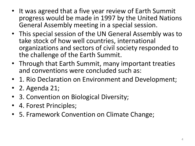- It was agreed that a five year review of Earth Summit progress would be made in 1997 by the United Nations General Assembly meeting in a special session.
- This special session of the UN General Assembly was to take stock of how well countries, international organizations and sectors of civil society responded to the challenge of the Earth Summit.
- Through that Earth Summit, many important treaties and conventions were concluded such as:
- 1. Rio Declaration on Environment and Development;
- 2. Agenda 21;
- 3. Convention on Biological Diversity;
- 4. Forest Principles;
- 5. Framework Convention on Climate Change;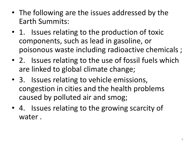- The following are the issues addressed by the Earth Summits:
- 1. Issues relating to the production of toxic components, such as lead in gasoline, or poisonous waste including radioactive chemicals ;
- 2. Issues relating to the use of fossil fuels which are linked to global climate change;
- 3. Issues relating to vehicle emissions, congestion in cities and the health problems caused by polluted air and smog;
- 4. Issues relating to the growing scarcity of water .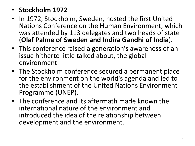#### • **Stockholm 1972**

- In 1972, Stockholm, Sweden, hosted the first United Nations Conference on the Human Environment, which was attended by 113 delegates and two heads of state (**Olaf Palme of Sweden and Indira Gandhi of India**).
- This conference raised a generation's awareness of an issue hitherto little talked about, the global environment.
- The Stockholm conference secured a permanent place for the environment on the world's agenda and led to the establishment of the United Nations Environment Programme (UNEP).
- The conference and its aftermath made known the international nature of the environment and introduced the idea of the relationship between development and the environment.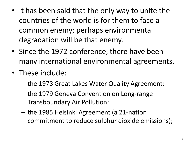- It has been said that the only way to unite the countries of the world is for them to face a common enemy; perhaps environmental degradation will be that enemy.
- Since the 1972 conference, there have been many international environmental agreements.
- These include:
	- the 1978 Great Lakes Water Quality Agreement;
	- the 1979 Geneva Convention on Long-range Transboundary Air Pollution;
	- the 1985 Helsinki Agreement (a 21-nation commitment to reduce sulphur dioxide emissions);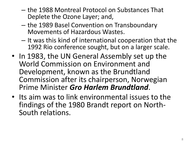- the 1988 Montreal Protocol on Substances That Deplete the Ozone Layer; and,
- the 1989 Basel Convention on Transboundary Movements of Hazardous Wastes.
- It was this kind of international cooperation that the 1992 Rio conference sought, but on a larger scale.
- In 1983, the UN General Assembly set up the World Commission on Environment and Development, known as the Brundtland Commission after its chairperson, Norwegian Prime Minister *Gro Harlem Brundtland*.
- Its aim was to link environmental issues to the findings of the 1980 Brandt report on North-South relations.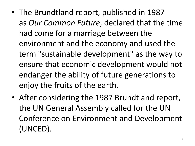- The Brundtland report, published in 1987 as *Our Common Future*, declared that the time had come for a marriage between the environment and the economy and used the term "sustainable development" as the way to ensure that economic development would not endanger the ability of future generations to enjoy the fruits of the earth.
- After considering the 1987 Brundtland report, the UN General Assembly called for the UN Conference on Environment and Development (UNCED).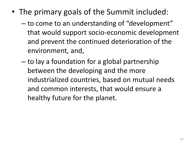- The primary goals of the Summit included:
	- to come to an understanding of "development" that would support socio-economic development and prevent the continued deterioration of the environment, and,
	- to lay a foundation for a global partnership between the developing and the more industrialized countries, based on mutual needs and common interests, that would ensure a healthy future for the planet.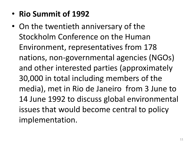- **Rio Summit of 1992**
- On the twentieth anniversary of the Stockholm Conference on the Human Environment, representatives from 178 nations, non-governmental agencies (NGOs) and other interested parties (approximately 30,000 in total including members of the media), met in Rio de Janeiro from 3 June to 14 June 1992 to discuss global environmental issues that would become central to policy implementation.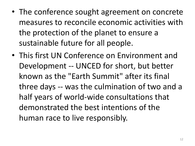- The conference sought agreement on concrete measures to reconcile economic activities with the protection of the planet to ensure a sustainable future for all people.
- This first UN Conference on Environment and Development -- UNCED for short, but better known as the "Earth Summit" after its final three days -- was the culmination of two and a half years of world-wide consultations that demonstrated the best intentions of the human race to live responsibly.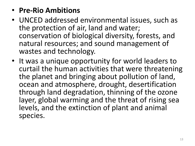### • **Pre-Rio Ambitions**

- UNCED addressed environmental issues, such as the protection of air, land and water; conservation of biological diversity, forests, and natural resources; and sound management of wastes and technology.
- It was a unique opportunity for world leaders to curtail the human activities that were threatening the planet and bringing about pollution of land, ocean and atmosphere, drought, desertification through land degradation, thinning of the ozone layer, global warming and the threat of rising sea levels, and the extinction of plant and animal species.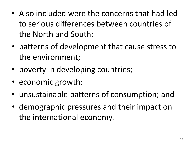- Also included were the concerns that had led to serious differences between countries of the North and South:
- patterns of development that cause stress to the environment;
- poverty in developing countries;
- economic growth;
- unsustainable patterns of consumption; and
- demographic pressures and their impact on the international economy.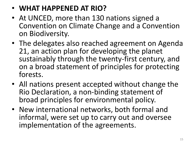## • **WHAT HAPPENED AT RIO?**

- At UNCED, more than 130 nations signed a Convention on Climate Change and a Convention on Biodiversity.
- The delegates also reached agreement on Agenda 21, an action plan for developing the planet sustainably through the twenty-first century, and on a broad statement of principles for protecting forests.
- All nations present accepted without change the Rio Declaration, a non-binding statement of broad principles for environmental policy.
- New international networks, both formal and informal, were set up to carry out and oversee implementation of the agreements.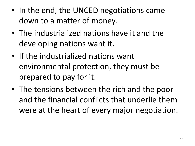- In the end, the UNCED negotiations came down to a matter of money.
- The industrialized nations have it and the developing nations want it.
- If the industrialized nations want environmental protection, they must be prepared to pay for it.
- The tensions between the rich and the poor and the financial conflicts that underlie them were at the heart of every major negotiation.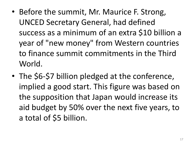- Before the summit, Mr. Maurice F. Strong, UNCED Secretary General, had defined success as a minimum of an extra \$10 billion a year of "new money" from Western countries to finance summit commitments in the Third World.
- The \$6-\$7 billion pledged at the conference, implied a good start. This figure was based on the supposition that Japan would increase its aid budget by 50% over the next five years, to a total of \$5 billion.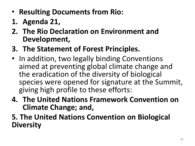- **Resulting Documents from Rio:**
- **1. Agenda 21,**
- **2. The Rio Declaration on Environment and Development,**
- **3. The Statement of Forest Principles.**
- In addition, two legally binding Conventions aimed at preventing global climate change and the eradication of the diversity of biological species were opened for signature at the Summit, giving high profile to these efforts:
- **4. The United Nations Framework Convention on Climate Change; and,**
- **5. The United Nations Convention on Biological Diversity**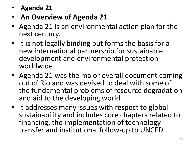- **Agenda 21**
- **An Overview of Agenda 21**
- Agenda 21 is an environmental action plan for the next century.
- It is not legally binding but forms the basis for a new international partnership for sustainable development and environmental protection worldwide.
- Agenda 21 was the major overall document coming out of Rio and was devised to deal with some of the fundamental problems of resource degradation and aid to the developing world.
- It addresses many issues with respect to global sustainability and includes core chapters related to financing, the implementation of technology transfer and institutional follow-up to UNCED.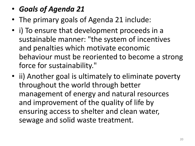- *Goals of Agenda 21*
- The primary goals of Agenda 21 include:
- i) To ensure that development proceeds in a sustainable manner: "the system of incentives and penalties which motivate economic behaviour must be reoriented to become a strong force for sustainability."
- ii) Another goal is ultimately to eliminate poverty throughout the world through better management of energy and natural resources and improvement of the quality of life by ensuring access to shelter and clean water, sewage and solid waste treatment.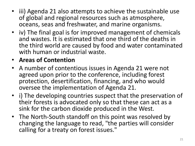- iii) Agenda 21 also attempts to achieve the sustainable use of global and regional resources such as atmosphere, oceans, seas and freshwater, and marine organisms.
- iv) The final goal is for improved management of chemicals and wastes. It is estimated that one third of the deaths in the third world are caused by food and water contaminated with human or industrial waste.
- **Areas of Contention**
- A number of contentious issues in Agenda 21 were not agreed upon prior to the conference, including forest protection, desertification, financing, and who would oversee the implementation of Agenda 21.
- i) The developing countries suspect that the preservation of their forests is advocated only so that these can act as a sink for the carbon dioxide produced in the West.
- The North-South standoff on this point was resolved by changing the language to read, "the parties will consider calling for a treaty on forest issues."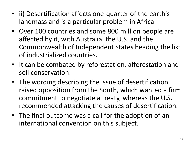- ii) Desertification affects one-quarter of the earth's landmass and is a particular problem in Africa.
- Over 100 countries and some 800 million people are affected by it, with Australia, the U.S. and the Commonwealth of Independent States heading the list of industrialized countries.
- It can be combated by reforestation, afforestation and soil conservation.
- The wording describing the issue of desertification raised opposition from the South, which wanted a firm commitment to negotiate a treaty, whereas the U.S. recommended attacking the causes of desertification.
- The final outcome was a call for the adoption of an international convention on this subject.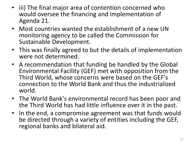- iii) The final major area of contention concerned who would oversee the financing and implementation of Agenda 21.
- Most countries wanted the establishment of a new UN monitoring agency to be called the Commission for Sustainable Development.
- This was finally agreed to but the details of implementation were not determined.
- A recommendation that funding be handled by the Global Environmental Facility (GEF) met with opposition from the Third World, whose concerns were based on the GEF's connection to the World Bank and thus the industrialized world.
- The World Bank's environmental record has been poor and the Third World has had little influence over it in the past.
- In the end, a compromise agreement was that funds would be directed through a variety of entities including the GEF, regional banks and bilateral aid.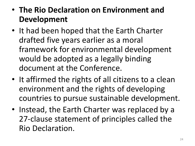- **The Rio Declaration on Environment and Development**
- It had been hoped that the Earth Charter drafted five years earlier as a moral framework for environmental development would be adopted as a legally binding document at the Conference.
- It affirmed the rights of all citizens to a clean environment and the rights of developing countries to pursue sustainable development.
- Instead, the Earth Charter was replaced by a 27-clause statement of principles called the Rio Declaration.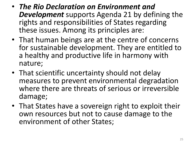- *The Rio Declaration on Environment and Development* supports Agenda 21 by defining the rights and responsibilities of States regarding these issues. Among its principles are:
- That human beings are at the centre of concerns for sustainable development. They are entitled to a healthy and productive life in harmony with nature;
- That scientific uncertainty should not delay measures to prevent environmental degradation where there are threats of serious or irreversible damage;
- That States have a sovereign right to exploit their own resources but not to cause damage to the environment of other States;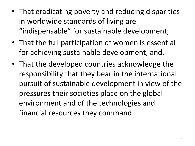- That eradicating poverty and reducing disparities in worldwide standards of living are "indispensable" for sustainable development;
- That the full participation of women is essential for achieving sustainable development; and,
- That the developed countries acknowledge the responsibility that they bear in the international pursuit of sustainable development in view of the pressures their societies place on the global environment and of the technologies and financial resources they command.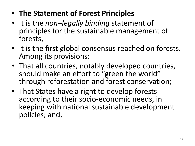- **The Statement of Forest Principles**
- It is the *non–legally binding* statement of principles for the sustainable management of forests,
- It is the first global consensus reached on forests. Among its provisions:
- That all countries, notably developed countries, should make an effort to "green the world" through reforestation and forest conservation;
- That States have a right to develop forests according to their socio-economic needs, in keeping with national sustainable development policies; and,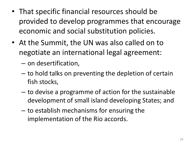- That specific financial resources should be provided to develop programmes that encourage economic and social substitution policies.
- At the Summit, the UN was also called on to negotiate an international legal agreement:
	- on desertification,
	- to hold talks on preventing the depletion of certain fish stocks,
	- to devise a programme of action for the sustainable development of small island developing States; and
	- to establish mechanisms for ensuring the implementation of the Rio accords.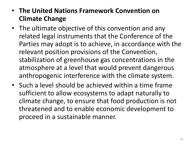#### • **The United Nations Framework Convention on Climate Change**

- The ultimate objective of this convention and any related legal instruments that the Conference of the Parties may adopt is to achieve, in accordance with the relevant position provisions of the Convention, stabilization of greenhouse gas concentrations in the atmosphere at a level that would prevent dangerous anthropogenic interference with the climate system.
- Such a level should be achieved within a time frame sufficient to allow ecosystems to adapt naturally to climate change, to ensure that food production is not threatened and to enable economic development to proceed in a sustainable manner.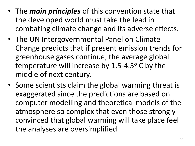- The *main principles* of this convention state that the developed world must take the lead in combating climate change and its adverse effects.
- The UN Intergovernmental Panel on Climate Change predicts that if present emission trends for greenhouse gases continue, the average global temperature will increase by  $1.5$ -4.5 $\degree$  C by the middle of next century.
- Some scientists claim the global warming threat is exaggerated since the predictions are based on computer modelling and theoretical models of the atmosphere so complex that even those strongly convinced that global warming will take place feel the analyses are oversimplified.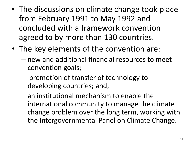- The discussions on climate change took place from February 1991 to May 1992 and concluded with a framework convention agreed to by more than 130 countries.
- The key elements of the convention are:
	- new and additional financial resources to meet convention goals;
	- promotion of transfer of technology to developing countries; and,
	- an institutional mechanism to enable the international community to manage the climate change problem over the long term, working with the Intergovernmental Panel on Climate Change.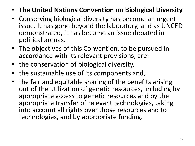- **The United Nations Convention on Biological Diversity**
- Conserving biological diversity has become an urgent issue. It has gone beyond the laboratory, and as UNCED demonstrated, it has become an issue debated in political arenas.
- The objectives of this Convention, to be pursued in accordance with its relevant provisions, are:
- the conservation of biological diversity,
- the sustainable use of its components and,
- the fair and equitable sharing of the benefits arising out of the utilization of genetic resources, including by appropriate access to genetic resources and by the appropriate transfer of relevant technologies, taking into account all rights over those resources and to technologies, and by appropriate funding.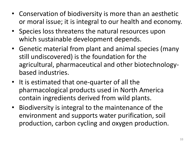- Conservation of biodiversity is more than an aesthetic or moral issue; it is integral to our health and economy.
- Species loss threatens the natural resources upon which sustainable development depends.
- Genetic material from plant and animal species (many still undiscovered) is the foundation for the agricultural, pharmaceutical and other biotechnologybased industries.
- It is estimated that one-quarter of all the pharmacological products used in North America contain ingredients derived from wild plants.
- Biodiversity is integral to the maintenance of the environment and supports water purification, soil production, carbon cycling and oxygen production.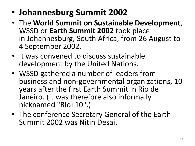- **Johannesburg Summit 2002**
- The **World Summit on Sustainable Development**, WSSD or **Earth Summit 2002** took place in Johannesburg, South Africa, from 26 August to 4 September 2002.
- It was convened to discuss sustainable development by the United Nations.
- WSSD gathered a number of leaders from business and non-governmental organizations, 10 years after the first Earth Summit in Rio de Janeiro. (It was therefore also informally nicknamed "Rio+10".)
- The conference Secretary General of the Earth Summit 2002 was Nitin Desai.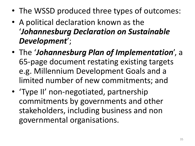- The WSSD produced three types of outcomes:
- A political declaration known as the '*Johannesburg Declaration on Sustainable Development*';
- The '*Johannesburg Plan of Implementation*', a 65-page document restating existing targets e.g. Millennium Development Goals and a limited number of new commitments; and
- 'Type II' non-negotiated, partnership commitments by governments and other stakeholders, including business and non governmental organisations.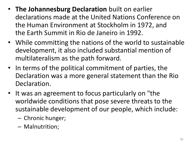- **The Johannesburg Declaration** built on earlier declarations made at the United Nations Conference on the Human Environment at Stockholm in 1972, and the Earth Summit in Rio de Janeiro in 1992.
- While committing the nations of the world to sustainable development, it also included substantial mention of multilateralism as the path forward.
- In terms of the political commitment of parties, the Declaration was a more general statement than the Rio Declaration.
- It was an agreement to focus particularly on "the worldwide conditions that pose severe threats to the sustainable development of our people, which include:
	- Chronic hunger;
	- Malnutrition;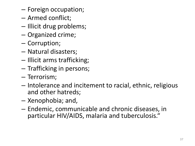- Foreign occupation;
- Armed conflict;
- Illicit drug problems;
- Organized crime;
- Corruption;
- Natural disasters;
- Illicit arms trafficking;
- Trafficking in persons;
- Terrorism;
- Intolerance and incitement to racial, ethnic, religious and other hatreds;
- Xenophobia; and,
- Endemic, communicable and chronic diseases, in particular HIV/AIDS, malaria and tuberculosis."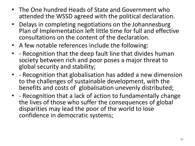- The One hundred Heads of State and Government who attended the WSSD agreed with the political declaration.
- Delays in completing negotiations on the Johannesburg Plan of Implementation left little time for full and effective consultations on the content of the declaration.
- A few notable references include the following:
- - Recognition that the deep fault line that divides human society between rich and poor poses a major threat to global security and stability;
- - Recognition that globalisation has added a new dimension to the challenges of sustainable development, with the benefits and costs of globalisation unevenly distributed;
- - Recognition that a lack of action to fundamentally change the lives of those who suffer the consequences of global disparities may lead the poor of the world to lose confidence in democratic systems;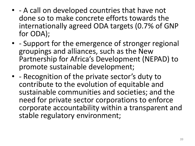- - A call on developed countries that have not done so to make concrete efforts towards the internationally agreed ODA targets (0.7% of GNP for ODA);
- - Support for the emergence of stronger regional groupings and alliances, such as the New Partnership for Africa's Development (NEPAD) to promote sustainable development;
- - Recognition of the private sector's duty to contribute to the evolution of equitable and sustainable communities and societies; and the need for private sector corporations to enforce corporate accountability within a transparent and stable regulatory environment;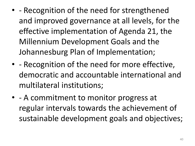- - Recognition of the need for strengthened and improved governance at all levels, for the effective implementation of Agenda 21, the Millennium Development Goals and the Johannesburg Plan of Implementation;
- - Recognition of the need for more effective, democratic and accountable international and multilateral institutions;
- - A commitment to monitor progress at regular intervals towards the achievement of sustainable development goals and objectives;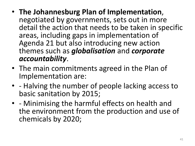- **The Johannesburg Plan of Implementation**, negotiated by governments, sets out in more detail the action that needs to be taken in specific areas, including gaps in implementation of Agenda 21 but also introducing new action themes such as *globalisation* and *corporate accountability*.
- The main commitments agreed in the Plan of Implementation are:
- - Halving the number of people lacking access to basic sanitation by 2015;
- - Minimising the harmful effects on health and the environment from the production and use of chemicals by 2020;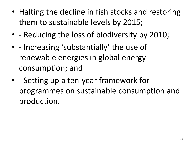- Halting the decline in fish stocks and restoring them to sustainable levels by 2015;
- - Reducing the loss of biodiversity by 2010;
- - Increasing 'substantially' the use of renewable energies in global energy consumption; and
- - Setting up a ten-year framework for programmes on sustainable consumption and production.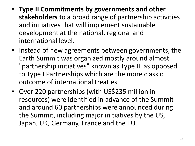- **Type II Commitments by governments and other stakeholders** to a broad range of partnership activities and initiatives that will implement sustainable development at the national, regional and international level.
- Instead of new agreements between governments, the Earth Summit was organized mostly around almost "partnership initiatives" known as Type II, as opposed to Type I Partnerships which are the more classic outcome of international treaties.
- Over 220 partnerships (with US\$235 million in resources) were identified in advance of the Summit and around 60 partnerships were announced during the Summit, including major initiatives by the US, Japan, UK, Germany, France and the EU.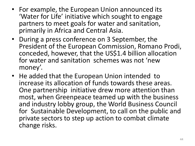- For example, the European Union announced its 'Water for Life' initiative which sought to engage partners to meet goals for water and sanitation, primarily in Africa and Central Asia.
- During a press conference on 3 September, the President of the European Commission, Romano Prodi, conceded, however, that the US\$1.4 billion allocation for water and sanitation schemes was not 'new money'.
- He added that the European Union intended to increase its allocation of funds towards these areas. One partnership initiative drew more attention than most, when Greenpeace teamed up with the business and industry lobby group, the World Business Council for Sustainable Development, to call on the public and private sectors to step up action to combat climate change risks.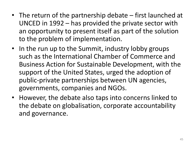- The return of the partnership debate first launched at UNCED in 1992 – has provided the private sector with an opportunity to present itself as part of the solution to the problem of implementation.
- In the run up to the Summit, industry lobby groups such as the International Chamber of Commerce and Business Action for Sustainable Development, with the support of the United States, urged the adoption of public-private partnerships between UN agencies, governments, companies and NGOs.
- However, the debate also taps into concerns linked to the debate on globalisation, corporate accountability and governance.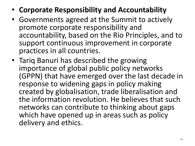- **Corporate Responsibility and Accountability**
- Governments agreed at the Summit to actively promote corporate responsibility and accountability, based on the Rio Principles, and to support continuous improvement in corporate practices in all countries.
- Tariq Banuri has described the growing importance of global public policy networks (GPPN) that have emerged over the last decade in response to widening gaps in policy making created by globalisation, trade liberalisation and the information revolution. He believes that such networks can contribute to thinking about gaps which have opened up in areas such as policy delivery and ethics.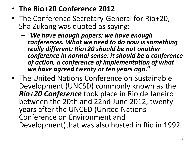## • **The Rio+20 Conference 2012**

- The Conference Secretary-General for Rio+20, Sha Zukang was quoted as saying:
	- *"We have enough papers; we have enough conferences. What we need to do now is something really different: Rio+20 should be not another conference in normal sense; it should be a conference of action, a conference of implementation of what we have agreed twenty or ten years ago."*
- The United Nations Conference on Sustainable Development (UNCSD) commonly known as the *Rio+20 Conference* took place in Rio de Janeiro between the 20th and 22nd June 2012, twenty years after the UNCED (United Nations Conference on Environment and Development)that was also hosted in Rio in 1992.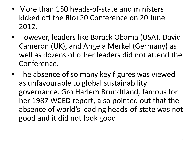- More than 150 heads-of-state and ministers kicked off the Rio+20 Conference on 20 June 2012.
- However, leaders like Barack Obama (USA), David Cameron (UK), and Angela Merkel (Germany) as well as dozens of other leaders did not attend the Conference.
- The absence of so many key figures was viewed as unfavourable to global sustainability governance. Gro Harlem Brundtland, famous for her 1987 WCED report, also pointed out that the absence of world's leading heads-of-state was not good and it did not look good.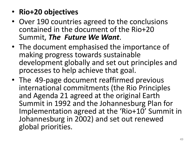- **Rio+20 objectives**
- Over 190 countries agreed to the conclusions contained in the document of the Rio+20 Summit, *The Future We Want*.
- The document emphasised the importance of making progress towards sustainable development globally and set out principles and processes to help achieve that goal.
- The 49-page document reaffirmed previous international commitments (the Rio Principles and Agenda 21 agreed at the original Earth Summit in 1992 and the Johannesburg Plan for Implementation agreed at the 'Rio+10' Summit in Johannesburg in 2002) and set out renewed global priorities.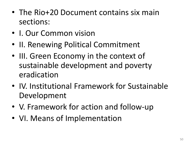- The Rio+20 Document contains six main sections:
- I. Our Common vision
- II. Renewing Political Commitment
- III. Green Economy in the context of sustainable development and poverty eradication
- IV. Institutional Framework for Sustainable Development
- V. Framework for action and follow-up
- VI. Means of Implementation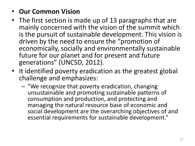#### • **Our Common Vision**

- The first section is made up of 13 paragraphs that are mainly concerned with the vision of the summit which is the pursuit of sustainable development. This vision is driven by the need to ensure the "promotion of economically, socially and environmentally sustainable future for our planet and for present and future generations" (UNCSD, 2012).
- It identified poverty eradication as the greatest global challenge and emphasizes:
	- "We recognize that poverty eradication, changing unsustainable and promoting sustainable patterns of consumption and production, and protecting and managing the natural resource base of economic and social development are the overarching objectives of and essential requirements for sustainable development."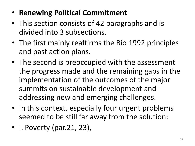- **Renewing Political Commitment**
- This section consists of 42 paragraphs and is divided into 3 subsections.
- The first mainly reaffirms the Rio 1992 principles and past action plans.
- The second is preoccupied with the assessment the progress made and the remaining gaps in the implementation of the outcomes of the major summits on sustainable development and addressing new and emerging challenges.
- In this context, especially four urgent problems seemed to be still far away from the solution:
- I. Poverty (par. 21, 23),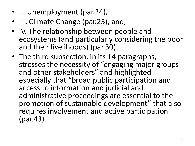- II. Unemployment (par. 24),
- III. Climate Change (par. 25), and,
- IV. The relationship between people and ecosystems (and particularly considering the poor and their livelihoods) (par.30).
- The third subsection, in its 14 paragraphs, stresses the necessity of "engaging major groups and other stakeholders" and highlighted especially that "broad public participation and access to information and judicial and administrative proceedings are essential to the promotion of sustainable development" that also requires involvement and active participation (par.43).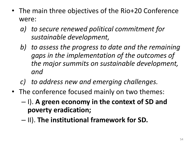- The main three objectives of the Rio+20 Conference were:
	- *a) to secure renewed political commitment for sustainable development,*
	- *b) to assess the progress to date and the remaining gaps in the implementation of the outcomes of the major summits on sustainable development, and*
	- *c) to address new and emerging challenges.*
- The conference focused mainly on two themes:
	- I). **A green economy in the context of SD and poverty eradication;**
	- II). **The institutional framework for SD.**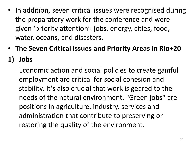- In addition, seven critical issues were recognised during the preparatory work for the conference and were given 'priority attention': jobs, energy, cities, food, water, oceans, and disasters.
- **The Seven Critical Issues and Priority Areas in Rio+20**

## **1) Jobs**

Economic action and social policies to create gainful employment are critical for social cohesion and stability. It's also crucial that work is geared to the needs of the natural environment. "Green jobs" are positions in agriculture, industry, services and administration that contribute to preserving or restoring the quality of the environment.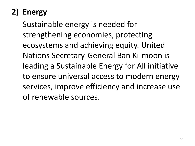# **2) Energy**

Sustainable energy is needed for strengthening economies, protecting ecosystems and achieving equity. United Nations Secretary-General Ban Ki-moon is leading a Sustainable Energy for All initiative to ensure universal access to modern energy services, improve efficiency and increase use of renewable sources.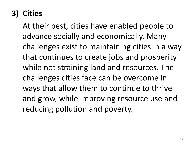## **3) Cities**

At their best, cities have enabled people to advance socially and economically. Many challenges exist to maintaining cities in a way that continues to create jobs and prosperity while not straining land and resources. The challenges cities face can be overcome in ways that allow them to continue to thrive and grow, while improving resource use and reducing pollution and poverty.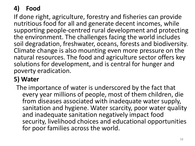### **4) Food**

If done right, agriculture, forestry and fisheries can provide nutritious food for all and generate decent incomes, while supporting people-centred rural development and protecting the environment. The challenges facing the world includes soil degradation, freshwater, oceans, forests and biodiversity. Climate change is also mounting even more pressure on the natural resources. The food and agriculture sector offers key solutions for development, and is central for hunger and poverty eradication.

### **5) Water**

The importance of water is underscored by the fact that every year millions of people, most of them children, die from diseases associated with inadequate water supply, sanitation and hygiene. Water scarcity, poor water quality and inadequate sanitation negatively impact food security, livelihood choices and educational opportunities for poor families across the world.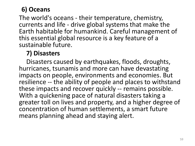#### **6) Oceans**

The world's oceans - their temperature, chemistry, currents and life - drive global systems that make the Earth habitable for humankind. Careful management of this essential global resource is a key feature of a sustainable future.

#### **7) Disasters**

Disasters caused by earthquakes, floods, droughts, hurricanes, tsunamis and more can have devastating impacts on people, environments and economies. But resilience -- the ability of people and places to withstand these impacts and recover quickly -- remains possible. With a quickening pace of natural disasters taking a greater toll on lives and property, and a higher degree of concentration of human settlements, a smart future means planning ahead and staying alert.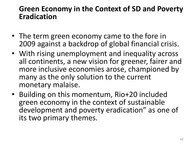#### **Green Economy in the Context of SD and Poverty Eradication**

- The term green economy came to the fore in 2009 against a backdrop of global financial crisis.
- With rising unemployment and inequality across all continents, a new vision for greener, fairer and more inclusive economies arose, championed by many as the only solution to the current monetary malaise.
- Building on this momentum, Rio+20 included green economy in the context of sustainable development and poverty eradication" as one of its two primary themes.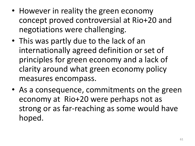- However in reality the green economy concept proved controversial at Rio+20 and negotiations were challenging.
- This was partly due to the lack of an internationally agreed definition or set of principles for green economy and a lack of clarity around what green economy policy measures encompass.
- As a consequence, commitments on the green economy at Rio+20 were perhaps not as strong or as far-reaching as some would have hoped.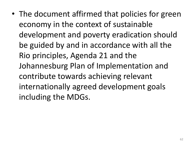• The document affirmed that policies for green economy in the context of sustainable development and poverty eradication should be guided by and in accordance with all the Rio principles, Agenda 21 and the Johannesburg Plan of Implementation and contribute towards achieving relevant internationally agreed development goals including the MDGs.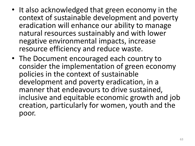- It also acknowledged that green economy in the context of sustainable development and poverty eradication will enhance our ability to manage natural resources sustainably and with lower negative environmental impacts, increase resource efficiency and reduce waste.
- The Document encouraged each country to consider the implementation of green economy policies in the context of sustainable development and poverty eradication, in a manner that endeavours to drive sustained, inclusive and equitable economic growth and job creation, particularly for women, youth and the poor.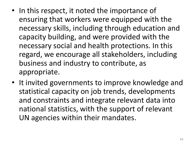- In this respect, it noted the importance of ensuring that workers were equipped with the necessary skills, including through education and capacity building, and were provided with the necessary social and health protections. In this regard, we encourage all stakeholders, including business and industry to contribute, as appropriate.
- It invited governments to improve knowledge and statistical capacity on job trends, developments and constraints and integrate relevant data into national statistics, with the support of relevant UN agencies within their mandates.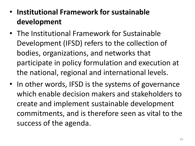- **Institutional Framework for sustainable development**
- The Institutional Framework for Sustainable Development (IFSD) refers to the collection of bodies, organizations, and networks that participate in policy formulation and execution at the national, regional and international levels.
- In other words, IFSD is the systems of governance which enable decision makers and stakeholders to create and implement sustainable development commitments, and is therefore seen as vital to the success of the agenda.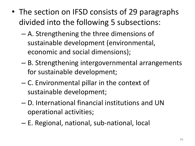- The section on IFSD consists of 29 paragraphs divided into the following 5 subsections:
	- A. Strengthening the three dimensions of sustainable development (environmental, economic and social dimensions);
	- B. Strengthening intergovernmental arrangements for sustainable development;
	- C. Environmental pillar in the context of sustainable development;
	- D. International financial institutions and UN operational activities;
	- E. Regional, national, sub-national, local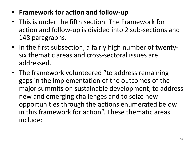- **Framework for action and follow-up**
- This is under the fifth section. The Framework for action and follow-up is divided into 2 sub-sections and 148 paragraphs.
- In the first subsection, a fairly high number of twentysix thematic areas and cross-sectoral issues are addressed.
- The framework volunteered "to address remaining gaps in the implementation of the outcomes of the major summits on sustainable development, to address new and emerging challenges and to seize new opportunities through the actions enumerated below in this framework for action". These thematic areas include: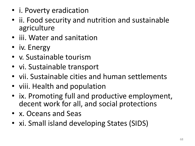- i. Poverty eradication
- ii. Food security and nutrition and sustainable agriculture
- iii. Water and sanitation
- iv. Energy
- v. Sustainable tourism
- vi. Sustainable transport
- vii. Sustainable cities and human settlements
- viii. Health and population
- ix. Promoting full and productive employment, decent work for all, and social protections
- x. Oceans and Seas
- xi. Small island developing States (SIDS)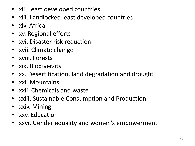- xii. Least developed countries
- xiii. Landlocked least developed countries
- xiv. Africa
- xv. Regional efforts
- xvi. Disaster risk reduction
- xvii. Climate change
- xviii. Forests
- xix. Biodiversity
- xx. Desertification, land degradation and drought
- xxi. Mountains
- xxii. Chemicals and waste
- xxiii. Sustainable Consumption and Production
- xxiv. Mining
- xxv. Education
- xxvi. Gender equality and women's empowerment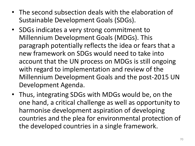- The second subsection deals with the elaboration of Sustainable Development Goals (SDGs).
- SDGs indicates a very strong commitment to Millennium Development Goals (MDGs). This paragraph potentially reflects the idea or fears that a new framework on SDGs would need to take into account that the UN process on MDGs is still ongoing with regard to implementation and review of the Millennium Development Goals and the post-2015 UN Development Agenda.
- Thus, integrating SDGs with MDGs would be, on the one hand, a critical challenge as well as opportunity to harmonise development aspiration of developing countries and the plea for environmental protection of the developed countries in a single framework.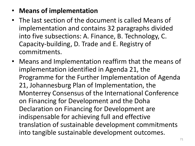#### • **Means of implementation**

- The last section of the document is called Means of implementation and contains 32 paragraphs divided into five subsections: A. Finance, B. Technology, C. Capacity-building, D. Trade and E. Registry of commitments.
- Means and Implementation reaffirm that the means of implementation identified in Agenda 21, the Programme for the Further Implementation of Agenda 21, Johannesburg Plan of Implementation, the Monterrey Consensus of the International Conference on Financing for Development and the Doha Declaration on Financing for Development are indispensable for achieving full and effective translation of sustainable development commitments into tangible sustainable development outcomes.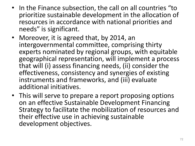- In the Finance subsection, the call on all countries "to prioritize sustainable development in the allocation of resources in accordance with national priorities and needs" is significant.
- Moreover, it is agreed that, by 2014, an intergovernmental committee, comprising thirty experts nominated by regional groups, with equitable geographical representation, will implement a process that will (i) assess financing needs, (ii) consider the effectiveness, consistency and synergies of existing instruments and frameworks, and (iii) evaluate additional initiatives.
- This will serve to prepare a report proposing options on an effective Sustainable Development Financing Strategy to facilitate the mobilization of resources and their effective use in achieving sustainable development objectives.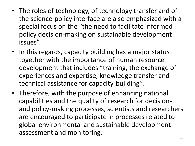- The roles of technology, of technology transfer and of the science-policy interface are also emphasized with a special focus on the "the need to facilitate informed policy decision-making on sustainable development issues".
- In this regards, capacity building has a major status together with the importance of human resource development that includes "training, the exchange of experiences and expertise, knowledge transfer and technical assistance for capacity-building".
- Therefore, with the purpose of enhancing national capabilities and the quality of research for decisionand policy-making processes, scientists and researchers are encouraged to participate in processes related to global environmental and sustainable development assessment and monitoring.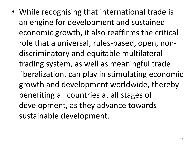• While recognising that international trade is an engine for development and sustained economic growth, it also reaffirms the critical role that a universal, rules-based, open, nondiscriminatory and equitable multilateral trading system, as well as meaningful trade liberalization, can play in stimulating economic growth and development worldwide, thereby benefiting all countries at all stages of development, as they advance towards sustainable development.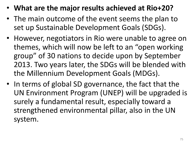- **What are the major results achieved at Rio+20?**
- The main outcome of the event seems the plan to set up Sustainable Development Goals (SDGs).
- However, negotiators in Rio were unable to agree on themes, which will now be left to an "open working group" of 30 nations to decide upon by September 2013. Two years later, the SDGs will be blended with the Millennium Development Goals (MDGs).
- In terms of global SD governance, the fact that the UN Environment Program (UNEP) will be upgraded is surely a fundamental result, especially toward a strengthened environmental pillar, also in the UN system.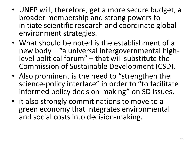- UNEP will, therefore, get a more secure budget, a broader membership and strong powers to initiate scientific research and coordinate global environment strategies.
- What should be noted is the establishment of a new body – "a universal intergovernmental highlevel political forum" – that will substitute the Commission of Sustainable Development (CSD).
- Also prominent is the need to "strengthen the science-policy interface" in order to "to facilitate informed policy decision-making" on SD issues.
- it also strongly commit nations to move to a green economy that integrates environmental and social costs into decision-making.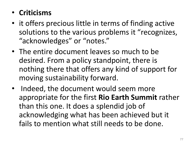## • **Criticisms**

- it offers precious little in terms of finding active solutions to the various problems it "recognizes, "acknowledges" or "notes."
- The entire document leaves so much to be desired. From a policy standpoint, there is nothing there that offers any kind of support for moving sustainability forward.
- Indeed, the document would seem more appropriate for the first **Rio Earth Summit** rather than this one. It does a splendid job of acknowledging what has been achieved but it fails to mention what still needs to be done.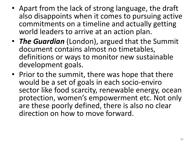- Apart from the lack of strong language, the draft also disappoints when it comes to pursuing active commitments on a timeline and actually getting world leaders to arrive at an action plan.
- *The Guardian* (London), argued that the Summit document contains almost no timetables, definitions or ways to monitor new sustainable development goals.
- Prior to the summit, there was hope that there would be a set of goals in each socio-enviro sector like food scarcity, renewable energy, ocean protection, women's empowerment etc. Not only are these poorly defined, there is also no clear direction on how to move forward.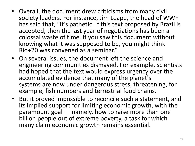- Overall, the document drew criticisms from many civil society leaders. For instance, Jim Leape, the head of WWF has said that, "It's pathetic. If this text proposed by Brazil is accepted, then the last year of negotiations has been a colossal waste of time. If you saw this document without knowing what it was supposed to be, you might think Rio+20 was convened as a seminar."
- On several issues, the document left the science and engineering communities dismayed. For example, scientists had hoped that the text would express urgency over the accumulated evidence that many of the planet's systems are now under dangerous stress, threatening, for example, fish numbers and terrestrial food chains.
- But it proved impossible to reconcile such a statement, and its implied support for limiting economic growth, with the paramount goal — namely, how to raise more than one billion people out of extreme poverty, a task for which many claim economic growth remains essential.